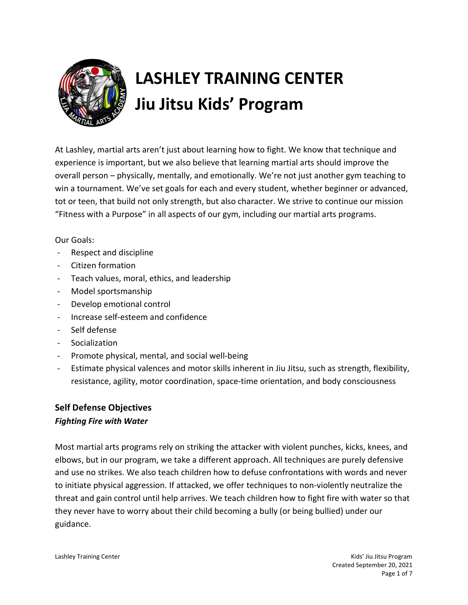

# LASHLEY TRAINING CENTER Jiu Jitsu Kids' Program

At Lashley, martial arts aren't just about learning how to fight. We know that technique and experience is important, but we also believe that learning martial arts should improve the overall person – physically, mentally, and emotionally. We're not just another gym teaching to win a tournament. We've set goals for each and every student, whether beginner or advanced, tot or teen, that build not only strength, but also character. We strive to continue our mission "Fitness with a Purpose" in all aspects of our gym, including our martial arts programs.

#### Our Goals:

- Respect and discipline
- Citizen formation
- Teach values, moral, ethics, and leadership
- Model sportsmanship
- Develop emotional control
- Increase self-esteem and confidence
- Self defense
- Socialization
- Promote physical, mental, and social well-being
- Estimate physical valences and motor skills inherent in Jiu Jitsu, such as strength, flexibility, resistance, agility, motor coordination, space-time orientation, and body consciousness

# Self Defense Objectives

#### Fighting Fire with Water

Most martial arts programs rely on striking the attacker with violent punches, kicks, knees, and elbows, but in our program, we take a different approach. All techniques are purely defensive and use no strikes. We also teach children how to defuse confrontations with words and never to initiate physical aggression. If attacked, we offer techniques to non-violently neutralize the threat and gain control until help arrives. We teach children how to fight fire with water so that they never have to worry about their child becoming a bully (or being bullied) under our guidance.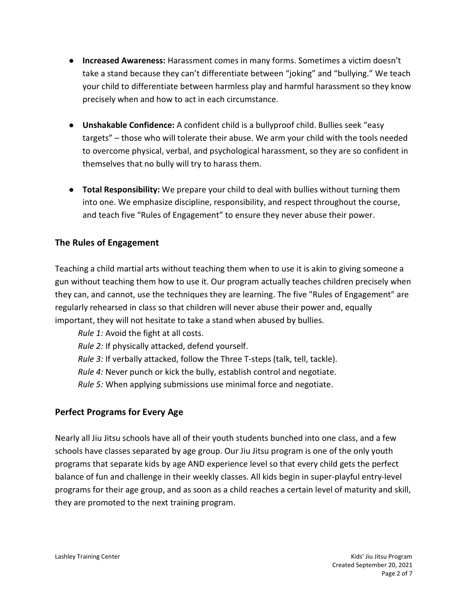- Increased Awareness: Harassment comes in many forms. Sometimes a victim doesn't take a stand because they can't differentiate between "joking" and "bullying." We teach your child to differentiate between harmless play and harmful harassment so they know precisely when and how to act in each circumstance.
- Unshakable Confidence: A confident child is a bullyproof child. Bullies seek "easy targets" – those who will tolerate their abuse. We arm your child with the tools needed to overcome physical, verbal, and psychological harassment, so they are so confident in themselves that no bully will try to harass them.
- Total Responsibility: We prepare your child to deal with bullies without turning them into one. We emphasize discipline, responsibility, and respect throughout the course, and teach five "Rules of Engagement" to ensure they never abuse their power.

# The Rules of Engagement

Teaching a child martial arts without teaching them when to use it is akin to giving someone a gun without teaching them how to use it. Our program actually teaches children precisely when they can, and cannot, use the techniques they are learning. The five "Rules of Engagement" are regularly rehearsed in class so that children will never abuse their power and, equally important, they will not hesitate to take a stand when abused by bullies.

Rule 1: Avoid the fight at all costs.

Rule 2: If physically attacked, defend yourself.

Rule 3: If verbally attacked, follow the Three T-steps (talk, tell, tackle).

Rule 4: Never punch or kick the bully, establish control and negotiate.

Rule 5: When applying submissions use minimal force and negotiate.

# Perfect Programs for Every Age

Nearly all Jiu Jitsu schools have all of their youth students bunched into one class, and a few schools have classes separated by age group. Our Jiu Jitsu program is one of the only youth programs that separate kids by age AND experience level so that every child gets the perfect balance of fun and challenge in their weekly classes. All kids begin in super-playful entry-level programs for their age group, and as soon as a child reaches a certain level of maturity and skill, they are promoted to the next training program.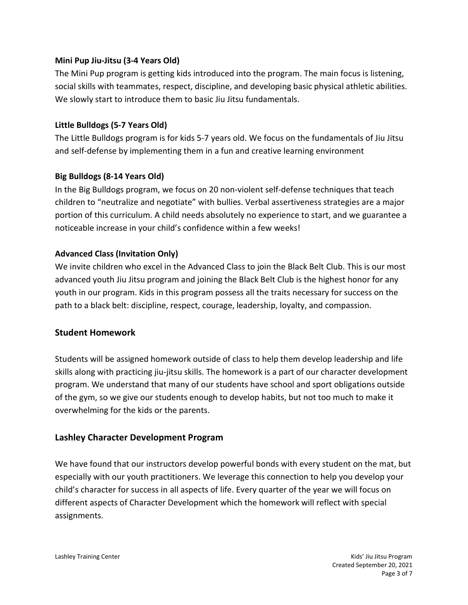# Mini Pup Jiu-Jitsu (3-4 Years Old)

The Mini Pup program is getting kids introduced into the program. The main focus is listening, social skills with teammates, respect, discipline, and developing basic physical athletic abilities. We slowly start to introduce them to basic Jiu Jitsu fundamentals.

## Little Bulldogs (5-7 Years Old)

The Little Bulldogs program is for kids 5-7 years old. We focus on the fundamentals of Jiu Jitsu and self-defense by implementing them in a fun and creative learning environment

#### Big Bulldogs (8-14 Years Old)

In the Big Bulldogs program, we focus on 20 non-violent self-defense techniques that teach children to "neutralize and negotiate" with bullies. Verbal assertiveness strategies are a major portion of this curriculum. A child needs absolutely no experience to start, and we guarantee a noticeable increase in your child's confidence within a few weeks!

#### Advanced Class (Invitation Only)

We invite children who excel in the Advanced Class to join the Black Belt Club. This is our most advanced youth Jiu Jitsu program and joining the Black Belt Club is the highest honor for any youth in our program. Kids in this program possess all the traits necessary for success on the path to a black belt: discipline, respect, courage, leadership, loyalty, and compassion.

# Student Homework

Students will be assigned homework outside of class to help them develop leadership and life skills along with practicing jiu-jitsu skills. The homework is a part of our character development program. We understand that many of our students have school and sport obligations outside of the gym, so we give our students enough to develop habits, but not too much to make it overwhelming for the kids or the parents.

# Lashley Character Development Program

We have found that our instructors develop powerful bonds with every student on the mat, but especially with our youth practitioners. We leverage this connection to help you develop your child's character for success in all aspects of life. Every quarter of the year we will focus on different aspects of Character Development which the homework will reflect with special assignments.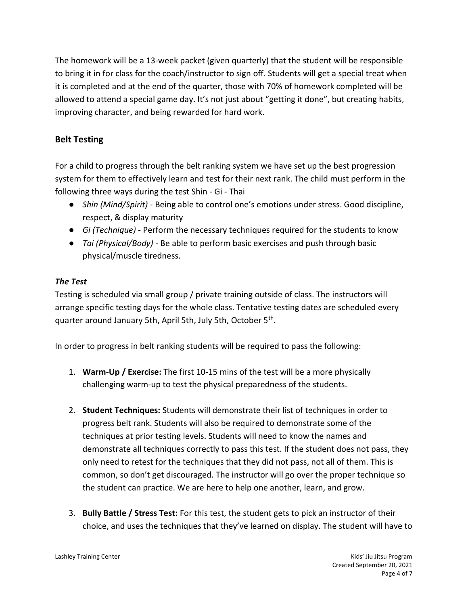The homework will be a 13-week packet (given quarterly) that the student will be responsible to bring it in for class for the coach/instructor to sign off. Students will get a special treat when it is completed and at the end of the quarter, those with 70% of homework completed will be allowed to attend a special game day. It's not just about "getting it done", but creating habits, improving character, and being rewarded for hard work.

# Belt Testing

For a child to progress through the belt ranking system we have set up the best progression system for them to effectively learn and test for their next rank. The child must perform in the following three ways during the test Shin - Gi - Thai

- Shin (Mind/Spirit) Being able to control one's emotions under stress. Good discipline, respect, & display maturity
- Gi (Technique) Perform the necessary techniques required for the students to know
- Tai (Physical/Body) Be able to perform basic exercises and push through basic physical/muscle tiredness.

# The Test

Testing is scheduled via small group / private training outside of class. The instructors will arrange specific testing days for the whole class. Tentative testing dates are scheduled every quarter around January 5th, April 5th, July 5th, October 5<sup>th</sup>.

In order to progress in belt ranking students will be required to pass the following:

- 1. Warm-Up / Exercise: The first 10-15 mins of the test will be a more physically challenging warm-up to test the physical preparedness of the students.
- 2. Student Techniques: Students will demonstrate their list of techniques in order to progress belt rank. Students will also be required to demonstrate some of the techniques at prior testing levels. Students will need to know the names and demonstrate all techniques correctly to pass this test. If the student does not pass, they only need to retest for the techniques that they did not pass, not all of them. This is common, so don't get discouraged. The instructor will go over the proper technique so the student can practice. We are here to help one another, learn, and grow.
- 3. Bully Battle / Stress Test: For this test, the student gets to pick an instructor of their choice, and uses the techniques that they've learned on display. The student will have to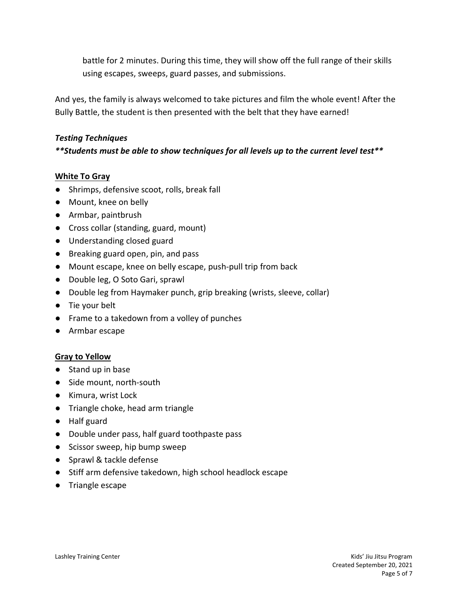battle for 2 minutes. During this time, they will show off the full range of their skills using escapes, sweeps, guard passes, and submissions.

And yes, the family is always welcomed to take pictures and film the whole event! After the Bully Battle, the student is then presented with the belt that they have earned!

#### Testing Techniques

#### \*\*Students must be able to show techniques for all levels up to the current level test\*\*

#### White To Gray

- Shrimps, defensive scoot, rolls, break fall
- Mount, knee on belly
- Armbar, paintbrush
- Cross collar (standing, guard, mount)
- Understanding closed guard
- Breaking guard open, pin, and pass
- Mount escape, knee on belly escape, push-pull trip from back
- Double leg, O Soto Gari, sprawl
- Double leg from Haymaker punch, grip breaking (wrists, sleeve, collar)
- Tie your belt
- Frame to a takedown from a volley of punches
- Armbar escape

#### Gray to Yellow

- Stand up in base
- Side mount, north-south
- Kimura, wrist Lock
- Triangle choke, head arm triangle
- Half guard
- Double under pass, half guard toothpaste pass
- Scissor sweep, hip bump sweep
- Sprawl & tackle defense
- Stiff arm defensive takedown, high school headlock escape
- Triangle escape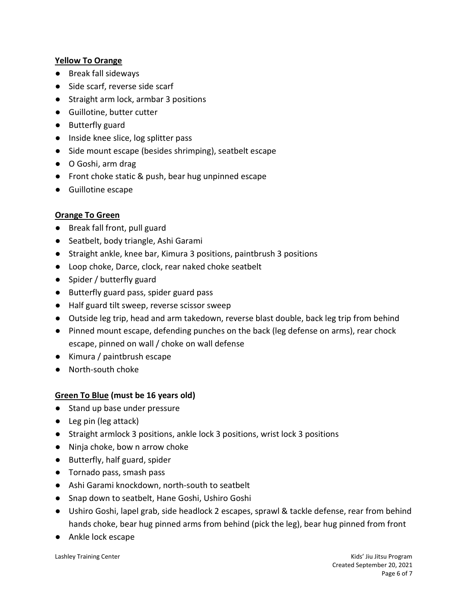#### Yellow To Orange

- Break fall sideways
- Side scarf, reverse side scarf
- Straight arm lock, armbar 3 positions
- Guillotine, butter cutter
- Butterfly guard
- Inside knee slice, log splitter pass
- Side mount escape (besides shrimping), seatbelt escape
- O Goshi, arm drag
- Front choke static & push, bear hug unpinned escape
- Guillotine escape

#### Orange To Green

- Break fall front, pull guard
- Seatbelt, body triangle, Ashi Garami
- Straight ankle, knee bar, Kimura 3 positions, paintbrush 3 positions
- Loop choke, Darce, clock, rear naked choke seatbelt
- Spider / butterfly guard
- Butterfly guard pass, spider guard pass
- Half guard tilt sweep, reverse scissor sweep
- Outside leg trip, head and arm takedown, reverse blast double, back leg trip from behind
- Pinned mount escape, defending punches on the back (leg defense on arms), rear chock escape, pinned on wall / choke on wall defense
- Kimura / paintbrush escape
- North-south choke

#### Green To Blue (must be 16 years old)

- Stand up base under pressure
- Leg pin (leg attack)
- Straight armlock 3 positions, ankle lock 3 positions, wrist lock 3 positions
- Ninja choke, bow n arrow choke
- Butterfly, half guard, spider
- Tornado pass, smash pass
- Ashi Garami knockdown, north-south to seatbelt
- Snap down to seatbelt, Hane Goshi, Ushiro Goshi
- Ushiro Goshi, lapel grab, side headlock 2 escapes, sprawl & tackle defense, rear from behind hands choke, bear hug pinned arms from behind (pick the leg), bear hug pinned from front
- Ankle lock escape